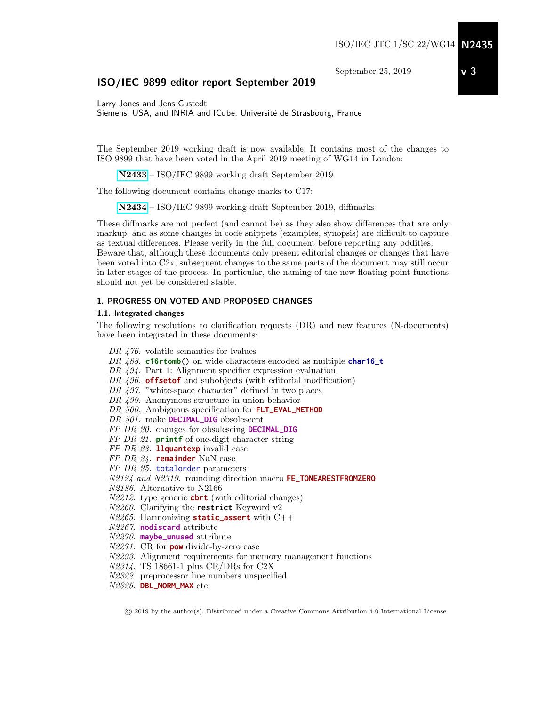September 25, 2019

# ISO/IEC 9899 editor report September 2019

Larry Jones and Jens Gustedt Siemens, USA, and INRIA and ICube, Université de Strasbourg, France

The September 2019 working draft is now available. It contains most of the changes to ISO 9899 that have been voted in the April 2019 meeting of WG14 in London:

[N2433](http://www.open-std.org/jtc1/sc22/wg14/www/docs/n2433.pdf) – ISO/IEC 9899 working draft September 2019

The following document contains change marks to C17:

[N2434](http://www.open-std.org/jtc1/sc22/wg14/www/docs/n2434.pdf) – ISO/IEC 9899 working draft September 2019, diffmarks

These diffmarks are not perfect (and cannot be) as they also show differences that are only markup, and as some changes in code snippets (examples, synopsis) are difficult to capture as textual differences. Please verify in the full document before reporting any oddities. Beware that, although these documents only present editorial changes or changes that have been voted into C2x, subsequent changes to the same parts of the document may still occur in later stages of the process. In particular, the naming of the new floating point functions should not yet be considered stable.

### 1. PROGRESS ON VOTED AND PROPOSED CHANGES

## 1.1. Integrated changes

The following resolutions to clarification requests (DR) and new features (N-documents) have been integrated in these documents:

DR  $476$ . volatile semantics for lyalues DR 488. **c16rtomb**() on wide characters encoded as multiple **char16\_t** DR 494. Part 1: Alignment specifier expression evaluation DR 496. **offsetof** and subobjects (with editorial modification) DR 497. "white-space character" defined in two places DR 499. Anonymous structure in union behavior DR 500. Ambiguous specification for **FLT\_EVAL\_METHOD** DR 501. make **DECIMAL\_DIG** obsolescent FP DR 20. changes for obsolescing **DECIMAL\_DIG** FP DR 21. **printf** of one-digit character string FP DR 23. **llquantexp** invalid case FP DR 24. **remainder** NaN case FP DR 25. totalorder parameters N2124 and N2319. rounding direction macro **FE\_TONEARESTFROMZERO** N2186. Alternative to N2166 N2212. type generic **cbrt** (with editorial changes) N2260. Clarifying the **restrict** Keyword v2 N2265. Harmonizing **static\_assert** with C++ N2267. **nodiscard** attribute N2270. **maybe\_unused** attribute N2271. CR for **pow** divide-by-zero case N2293. Alignment requirements for memory management functions N2314. TS 18661-1 plus CR/DRs for C2X N2322. preprocessor line numbers unspecified

N2325. **DBL\_NORM\_MAX** etc

© 2019 by the author(s). Distributed under a Creative Commons Attribution 4.0 International License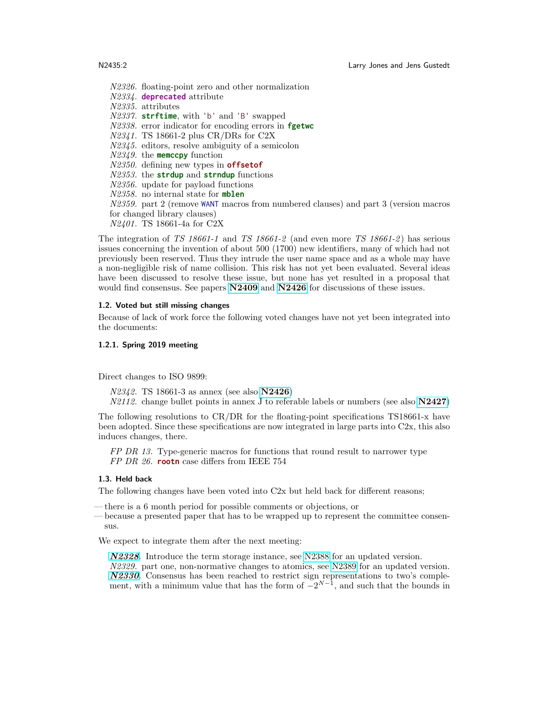N2326. floating-point zero and other normalization N2334. **deprecated** attribute N2335. attributes N2337. **strftime**, with 'b' and 'B' swapped N2338. error indicator for encoding errors in **fgetwc** N2341. TS 18661-2 plus CR/DRs for C2X N2345. editors, resolve ambiguity of a semicolon N2349. the **memccpy** function N2350. defining new types in **offsetof** N2353. the **strdup** and **strndup** functions N2356. update for payload functions N2358. no internal state for **mblen** N2359. part 2 (remove WANT macros from numbered clauses) and part 3 (version macros for changed library clauses) N2401. TS 18661-4a for C2X

The integration of TS 18661-1 and TS 18661-2 (and even more TS 18661-2) has serious issues concerning the invention of about 500 (1700) new identifiers, many of which had not previously been reserved. Thus they intrude the user name space and as a whole may have a non-negligible risk of name collision. This risk has not yet been evaluated. Several ideas have been discussed to resolve these issue, but none has yet resulted in a proposal that would find consensus. See papers  $N2409$  and  $N2426$  for discussions of these issues.

#### 1.2. Voted but still missing changes

Because of lack of work force the following voted changes have not yet been integrated into the documents:

#### 1.2.1. Spring 2019 meeting

Direct changes to ISO 9899:

N2342. TS 18661-3 as annex (see also [N2426](http://www.open-std.org/jtc1/sc22/wg14/www/docs/n2426.pdf)) N2112. change bullet points in annex J to referable labels or numbers (see also [N2427](http://www.open-std.org/jtc1/sc22/wg14/www/docs/n2427.pdf))

The following resolutions to CR/DR for the floating-point specifications TS18661-x have been adopted. Since these specifications are now integrated in large parts into C2x, this also induces changes, there.

FP DR 13. Type-generic macros for functions that round result to narrower type FP DR 26. **rootn** case differs from IEEE 754

## 1.3. Held back

The following changes have been voted into C2x but held back for different reasons;

- there is a 6 month period for possible comments or objections, or
- because a presented paper that has to be wrapped up to represent the committee consensus.

We expect to integrate them after the next meeting:

[N2328](http://www.open-std.org/jtc1/sc22/wg14/www/docs/n2328.pdf). Introduce the term storage instance, see [N2388](http://www.open-std.org/jtc1/sc22/wg14/www/docs/n2388.pdf) for an updated version. N2329. part one, non-normative changes to atomics, see [N2389](http://www.open-std.org/jtc1/sc22/wg14/www/docs/n2389.pdf) for an updated version. [N2330](http://www.open-std.org/jtc1/sc22/wg14/www/docs/n2330.pdf). Consensus has been reached to restrict sign representations to two's complement, with a minimum value that has the form of  $-2^{N-1}$ , and such that the bounds in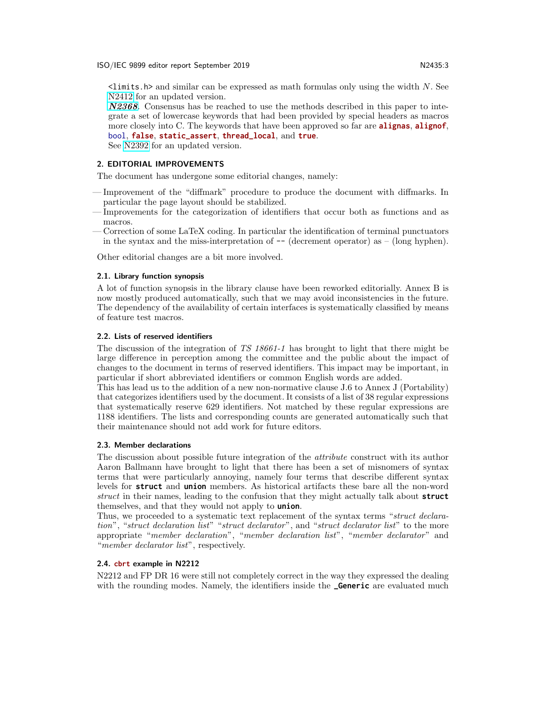$\lambda$  inits.h> and similar can be expressed as math formulas only using the width N. See [N2412](http://www.open-std.org/jtc1/sc22/wg14/www/docs/n2412.pdf) for an updated version.

[N2368](http://www.open-std.org/jtc1/sc22/wg14/www/docs/n2368.pdf). Consensus has be reached to use the methods described in this paper to integrate a set of lowercase keywords that had been provided by special headers as macros more closely into C. The keywords that have been approved so far are **alignas**, **alignof**, bool, **false**, **static\_assert**, **thread\_local**, and **true**.

See [N2392](http://www.open-std.org/jtc1/sc22/wg14/www/docs/n2392.pdf) for an updated version.

### 2. EDITORIAL IMPROVEMENTS

The document has undergone some editorial changes, namely:

- Improvement of the "diffmark" procedure to produce the document with diffmarks. In particular the page layout should be stabilized.
- Improvements for the categorization of identifiers that occur both as functions and as macros.
- Correction of some LaTeX coding. In particular the identification of terminal punctuators in the syntax and the miss-interpretation of  $-$  (decrement operator) as  $-$  (long hyphen).

Other editorial changes are a bit more involved.

#### 2.1. Library function synopsis

A lot of function synopsis in the library clause have been reworked editorially. Annex B is now mostly produced automatically, such that we may avoid inconsistencies in the future. The dependency of the availability of certain interfaces is systematically classified by means of feature test macros.

#### 2.2. Lists of reserved identifiers

The discussion of the integration of TS 18661-1 has brought to light that there might be large difference in perception among the committee and the public about the impact of changes to the document in terms of reserved identifiers. This impact may be important, in particular if short abbreviated identifiers or common English words are added.

This has lead us to the addition of a new non-normative clause J.6 to Annex J (Portability) that categorizes identifiers used by the document. It consists of a list of 38 regular expressions that systematically reserve 629 identifiers. Not matched by these regular expressions are 1188 identifiers. The lists and corresponding counts are generated automatically such that their maintenance should not add work for future editors.

## 2.3. Member declarations

The discussion about possible future integration of the attribute construct with its author Aaron Ballmann have brought to light that there has been a set of misnomers of syntax terms that were particularly annoying, namely four terms that describe different syntax levels for **struct** and **union** members. As historical artifacts these bare all the non-word struct in their names, leading to the confusion that they might actually talk about **struct** themselves, and that they would not apply to **union**.

Thus, we proceeded to a systematic text replacement of the syntax terms "struct declaration", "struct declaration list" "struct declarator", and "struct declarator list" to the more appropriate "member declaration", "member declaration list", "member declarator" and "member declarator list", respectively.

#### 2.4. **cbrt** example in N2212

N2212 and FP DR 16 were still not completely correct in the way they expressed the dealing with the rounding modes. Namely, the identifiers inside the **Generic** are evaluated much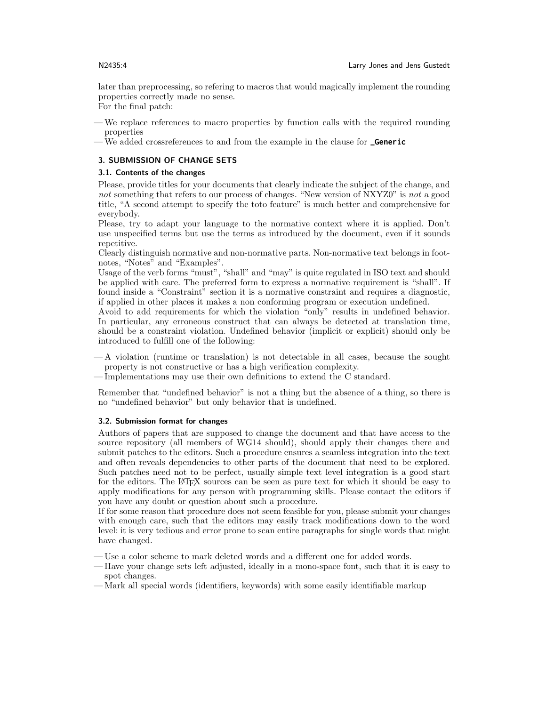later than preprocessing, so refering to macros that would magically implement the rounding properties correctly made no sense.

For the final patch:

- We replace references to macro properties by function calls with the required rounding properties
- We added crossreferences to and from the example in the clause for **\_Generic**

## 3. SUBMISSION OF CHANGE SETS

## 3.1. Contents of the changes

Please, provide titles for your documents that clearly indicate the subject of the change, and not something that refers to our process of changes. "New version of NXYZ0" is not a good title, "A second attempt to specify the toto feature" is much better and comprehensive for everybody.

Please, try to adapt your language to the normative context where it is applied. Don't use unspecified terms but use the terms as introduced by the document, even if it sounds repetitive.

Clearly distinguish normative and non-normative parts. Non-normative text belongs in footnotes, "Notes" and "Examples".

Usage of the verb forms "must", "shall" and "may" is quite regulated in ISO text and should be applied with care. The preferred form to express a normative requirement is "shall". If found inside a "Constraint" section it is a normative constraint and requires a diagnostic, if applied in other places it makes a non conforming program or execution undefined.

Avoid to add requirements for which the violation "only" results in undefined behavior. In particular, any erroneous construct that can always be detected at translation time, should be a constraint violation. Undefined behavior (implicit or explicit) should only be introduced to fulfill one of the following:

— A violation (runtime or translation) is not detectable in all cases, because the sought property is not constructive or has a high verification complexity.

— Implementations may use their own definitions to extend the C standard.

Remember that "undefined behavior" is not a thing but the absence of a thing, so there is no "undefined behavior" but only behavior that is undefined.

## 3.2. Submission format for changes

Authors of papers that are supposed to change the document and that have access to the source repository (all members of WG14 should), should apply their changes there and submit patches to the editors. Such a procedure ensures a seamless integration into the text and often reveals dependencies to other parts of the document that need to be explored. Such patches need not to be perfect, usually simple text level integration is a good start for the editors. The LAT<sub>EX</sub> sources can be seen as pure text for which it should be easy to apply modifications for any person with programming skills. Please contact the editors if you have any doubt or question about such a procedure.

If for some reason that procedure does not seem feasible for you, please submit your changes with enough care, such that the editors may easily track modifications down to the word level: it is very tedious and error prone to scan entire paragraphs for single words that might have changed.

— Use a color scheme to mark deleted words and a different one for added words.

- Have your change sets left adjusted, ideally in a mono-space font, such that it is easy to spot changes.
- Mark all special words (identifiers, keywords) with some easily identifiable markup